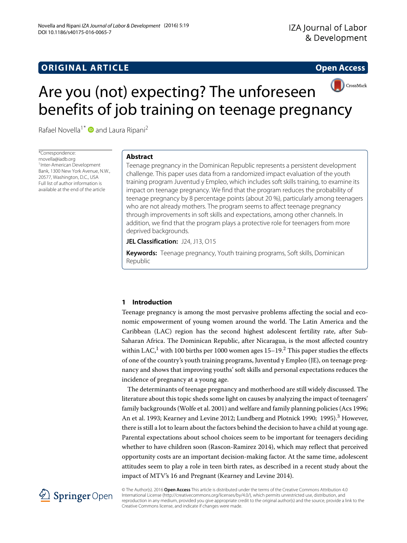# **ORIGINAL ARTICLE Open Access**



# CrossMark Are you (not) expecting? The unforeseen benefits of job training on teenage pregnancy

Rafael Novella<sup>1\*</sup>  $\bullet$  and Laura Ripani<sup>2</sup>

\*Correspondence: [rnovella@iadb.org](mailto: rnovella@iadb.org) 1Inter-American Development Bank, 1300 New York Avenue, N.W., 20577, Washington, D.C., USA Full list of author information is available at the end of the article

## **Abstract**

Teenage pregnancy in the Dominican Republic represents a persistent development challenge. This paper uses data from a randomized impact evaluation of the youth training program Juventud y Empleo, which includes soft skills training, to examine its impact on teenage pregnancy. We find that the program reduces the probability of teenage pregnancy by 8 percentage points (about 20 %), particularly among teenagers who are not already mothers. The program seems to affect teenage pregnancy through improvements in soft skills and expectations, among other channels. In addition, we find that the program plays a protective role for teenagers from more deprived backgrounds.

**JEL Classification:** J24, J13, O15

**Keywords:** Teenage pregnancy, Youth training programs, Soft skills, Dominican Republic

# **1 Introduction**

Teenage pregnancy is among the most pervasive problems affecting the social and economic empowerment of young women around the world. The Latin America and the Caribbean (LAC) region has the second highest adolescent fertility rate, after Sub-Saharan Africa. The Dominican Republic, after Nicaragua, is the most affected country within LAC,<sup>1</sup> with 100 births per 1000 women ages  $15-19$ .<sup>2</sup> This paper studies the effects of one of the country's youth training programs, Juventud y Empleo (JE), on teenage pregnancy and shows that improving youths' soft skills and personal expectations reduces the incidence of pregnancy at a young age.

The determinants of teenage pregnancy and motherhood are still widely discussed. The literature about this topic sheds some light on causes by analyzing the impact of teenagers' family backgrounds (Wolfe et al. [2001\)](#page-17-0) and welfare and family planning policies (Acs [1996;](#page-16-0) An et al. [1993;](#page-16-1) Kearney and Levine [2012;](#page-17-1) Lundberg and Plotnick [1990;](#page-17-2) [1995\)](#page-17-3).<sup>3</sup> However, there is still a lot to learn about the factors behind the decision to have a child at young age. Parental expectations about school choices seem to be important for teenagers deciding whether to have children soon (Rascon-Ramirez [2014\)](#page-17-4), which may reflect that perceived opportunity costs are an important decision-making factor. At the same time, adolescent attitudes seem to play a role in teen birth rates, as described in a recent study about the impact of MTV's 16 and Pregnant (Kearney and Levine [2014\)](#page-17-5).



© The Author(s). 2016 **Open Access** This article is distributed under the terms of the Creative Commons Attribution 4.0 International License [\(http://creativecommons.org/licenses/by/4.0/\)](http://creativecommons.org/licenses/by/4.0/), which permits unrestricted use, distribution, and reproduction in any medium, provided you give appropriate credit to the original author(s) and the source, provide a link to the Creative Commons license, and indicate if changes were made.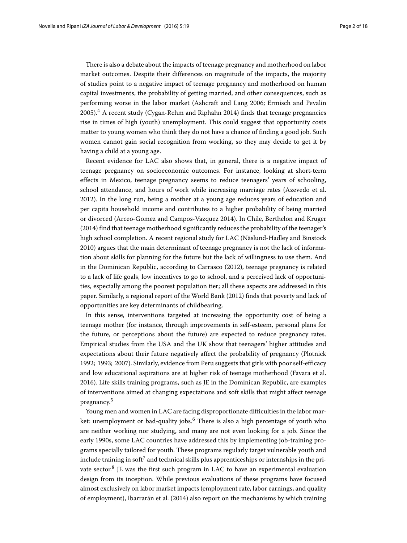There is also a debate about the impacts of teenage pregnancy and motherhood on labor market outcomes. Despite their differences on magnitude of the impacts, the majority of studies point to a negative impact of teenage pregnancy and motherhood on human capital investments, the probability of getting married, and other consequences, such as performing worse in the labor market (Ashcraft and Lang [2006;](#page-16-2) Ermisch and Pevalin  $2005$ .<sup>4</sup> A recent study (Cygan-Rehm and Riphahn [2014\)](#page-16-4) finds that teenage pregnancies rise in times of high (youth) unemployment. This could suggest that opportunity costs matter to young women who think they do not have a chance of finding a good job. Such women cannot gain social recognition from working, so they may decide to get it by having a child at a young age.

Recent evidence for LAC also shows that, in general, there is a negative impact of teenage pregnancy on socioeconomic outcomes. For instance, looking at short-term effects in Mexico, teenage pregnancy seems to reduce teenagers' years of schooling, school attendance, and hours of work while increasing marriage rates (Azevedo et al. [2012\)](#page-16-5). In the long run, being a mother at a young age reduces years of education and per capita household income and contributes to a higher probability of being married or divorced (Arceo-Gomez and Campos-Vazquez [2014\)](#page-16-6). In Chile, Berthelon and Kruger [\(2014\)](#page-16-7) find that teenage motherhood significantly reduces the probability of the teenager's high school completion. A recent regional study for LAC (Näslund-Hadley and Binstock [2010\)](#page-17-6) argues that the main determinant of teenage pregnancy is not the lack of information about skills for planning for the future but the lack of willingness to use them. And in the Dominican Republic, according to Carrasco [\(2012\)](#page-16-8), teenage pregnancy is related to a lack of life goals, low incentives to go to school, and a perceived lack of opportunities, especially among the poorest population tier; all these aspects are addressed in this paper. Similarly, a regional report of the World Bank [\(2012\)](#page-17-7) finds that poverty and lack of opportunities are key determinants of childbearing.

In this sense, interventions targeted at increasing the opportunity cost of being a teenage mother (for instance, through improvements in self-esteem, personal plans for the future, or perceptions about the future) are expected to reduce pregnancy rates. Empirical studies from the USA and the UK show that teenagers' higher attitudes and expectations about their future negatively affect the probability of pregnancy (Plotnick [1992;](#page-17-8) [1993;](#page-17-9) [2007\)](#page-17-10). Similarly, evidence from Peru suggests that girls with poor self-efficacy and low educational aspirations are at higher risk of teenage motherhood (Favara et al. [2016\)](#page-16-9). Life skills training programs, such as JE in the Dominican Republic, are examples of interventions aimed at changing expectations and soft skills that might affect teenage pregnancy.<sup>5</sup>

Young men and women in LAC are facing disproportionate difficulties in the labor market: unemployment or bad-quality jobs.<sup>6</sup> There is also a high percentage of youth who are neither working nor studying, and many are not even looking for a job. Since the early 1990s, some LAC countries have addressed this by implementing job-training programs specially tailored for youth. These programs regularly target vulnerable youth and include training in soft<sup>7</sup> and technical skills plus apprenticeships or internships in the private sector.<sup>8</sup> JE was the first such program in LAC to have an experimental evaluation design from its inception. While previous evaluations of these programs have focused almost exclusively on labor market impacts (employment rate, labor earnings, and quality of employment), Ibarrarán et al. [\(2014\)](#page-17-11) also report on the mechanisms by which training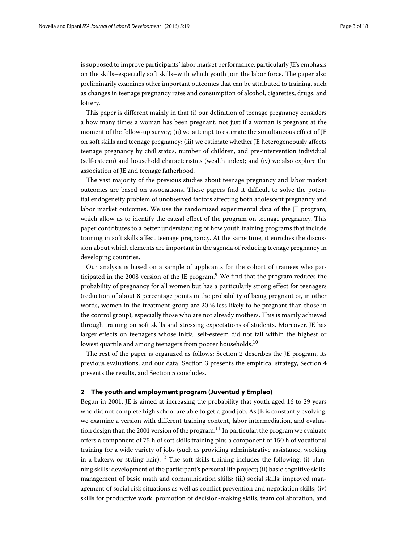is supposed to improve participants' labor market performance, particularly JE's emphasis on the skills–especially soft skills–with which youth join the labor force. The paper also preliminarily examines other important outcomes that can be attributed to training, such as changes in teenage pregnancy rates and consumption of alcohol, cigarettes, drugs, and lottery.

This paper is different mainly in that (i) our definition of teenage pregnancy considers a how many times a woman has been pregnant, not just if a woman is pregnant at the moment of the follow-up survey; (ii) we attempt to estimate the simultaneous effect of JE on soft skills and teenage pregnancy; (iii) we estimate whether JE heterogeneously affects teenage pregnancy by civil status, number of children, and pre-intervention individual (self-esteem) and household characteristics (wealth index); and (iv) we also explore the association of JE and teenage fatherhood.

The vast majority of the previous studies about teenage pregnancy and labor market outcomes are based on associations. These papers find it difficult to solve the potential endogeneity problem of unobserved factors affecting both adolescent pregnancy and labor market outcomes. We use the randomized experimental data of the JE program, which allow us to identify the causal effect of the program on teenage pregnancy. This paper contributes to a better understanding of how youth training programs that include training in soft skills affect teenage pregnancy. At the same time, it enriches the discussion about which elements are important in the agenda of reducing teenage pregnancy in developing countries.

Our analysis is based on a sample of applicants for the cohort of trainees who participated in the 2008 version of the JE program.<sup>9</sup> We find that the program reduces the probability of pregnancy for all women but has a particularly strong effect for teenagers (reduction of about 8 percentage points in the probability of being pregnant or, in other words, women in the treatment group are 20 % less likely to be pregnant than those in the control group), especially those who are not already mothers. This is mainly achieved through training on soft skills and stressing expectations of students. Moreover, JE has larger effects on teenagers whose initial self-esteem did not fall within the highest or lowest quartile and among teenagers from poorer households.<sup>10</sup>

The rest of the paper is organized as follows: Section [2](#page-2-0) describes the JE program, its previous evaluations, and our data. Section [3](#page-4-0) presents the empirical strategy, Section [4](#page-5-0) presents the results, and Section [5](#page-8-0) concludes.

## <span id="page-2-0"></span>**2 The youth and employment program (Juventud y Empleo)**

Begun in 2001, JE is aimed at increasing the probability that youth aged 16 to 29 years who did not complete high school are able to get a good job. As JE is constantly evolving, we examine a version with different training content, labor intermediation, and evaluation design than the 2001 version of the program.<sup>11</sup> In particular, the program we evaluate offers a component of 75 h of soft skills training plus a component of 150 h of vocational training for a wide variety of jobs (such as providing administrative assistance, working in a bakery, or styling hair).<sup>12</sup> The soft skills training includes the following: (i) planning skills: development of the participant's personal life project; (ii) basic cognitive skills: management of basic math and communication skills; (iii) social skills: improved management of social risk situations as well as conflict prevention and negotiation skills; (iv) skills for productive work: promotion of decision-making skills, team collaboration, and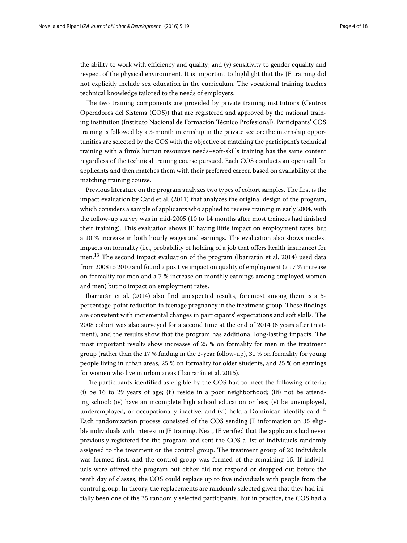the ability to work with efficiency and quality; and (v) sensitivity to gender equality and respect of the physical environment. It is important to highlight that the JE training did not explicitly include sex education in the curriculum. The vocational training teaches technical knowledge tailored to the needs of employers.

The two training components are provided by private training institutions (Centros Operadores del Sistema (COS)) that are registered and approved by the national training institution (Instituto Nacional de Formación Técnico Profesional). Participants' COS training is followed by a 3-month internship in the private sector; the internship opportunities are selected by the COS with the objective of matching the participant's technical training with a firm's human resources needs–soft-skills training has the same content regardless of the technical training course pursued. Each COS conducts an open call for applicants and then matches them with their preferred career, based on availability of the matching training course.

Previous literature on the program analyzes two types of cohort samples. The first is the impact evaluation by Card et al. [\(2011\)](#page-16-10) that analyzes the original design of the program, which considers a sample of applicants who applied to receive training in early 2004, with the follow-up survey was in mid-2005 (10 to 14 months after most trainees had finished their training). This evaluation shows JE having little impact on employment rates, but a 10 % increase in both hourly wages and earnings. The evaluation also shows modest impacts on formality (i.e., probability of holding of a job that offers health insurance) for men.13 The second impact evaluation of the program (Ibarrarán et al. [2014\)](#page-17-11) used data from 2008 to 2010 and found a positive impact on quality of employment (a 17 % increase on formality for men and a 7 % increase on monthly earnings among employed women and men) but no impact on employment rates.

Ibarrarán et al. [\(2014\)](#page-17-11) also find unexpected results, foremost among them is a 5 percentage-point reduction in teenage pregnancy in the treatment group. These findings are consistent with incremental changes in participants' expectations and soft skills. The 2008 cohort was also surveyed for a second time at the end of 2014 (6 years after treatment), and the results show that the program has additional long-lasting impacts. The most important results show increases of 25 % on formality for men in the treatment group (rather than the 17 % finding in the 2-year follow-up), 31 % on formality for young people living in urban areas, 25 % on formality for older students, and 25 % on earnings for women who live in urban areas (Ibarrarán et al. [2015\)](#page-17-12).

The participants identified as eligible by the COS had to meet the following criteria: (i) be 16 to 29 years of age; (ii) reside in a poor neighborhood; (iii) not be attending school; (iv) have an incomplete high school education or less; (v) be unemployed, underemployed, or occupationally inactive; and (vi) hold a Dominican identity card.<sup>14</sup> Each randomization process consisted of the COS sending JE information on 35 eligible individuals with interest in JE training. Next, JE verified that the applicants had never previously registered for the program and sent the COS a list of individuals randomly assigned to the treatment or the control group. The treatment group of 20 individuals was formed first, and the control group was formed of the remaining 15. If individuals were offered the program but either did not respond or dropped out before the tenth day of classes, the COS could replace up to five individuals with people from the control group. In theory, the replacements are randomly selected given that they had initially been one of the 35 randomly selected participants. But in practice, the COS had a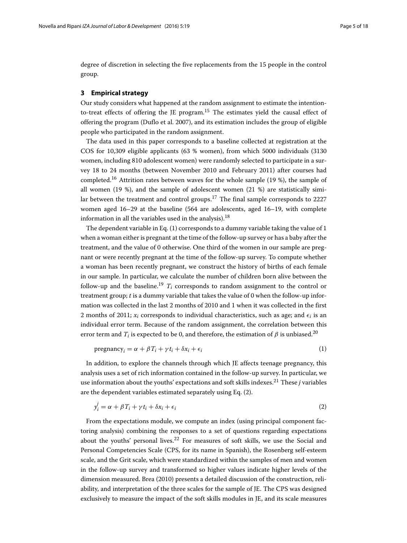degree of discretion in selecting the five replacements from the 15 people in the control group.

#### <span id="page-4-0"></span>**3 Empirical strategy**

Our study considers what happened at the random assignment to estimate the intentionto-treat effects of offering the JE program.<sup>15</sup> The estimates yield the causal effect of offering the program (Duflo et al. [2007\)](#page-16-11), and its estimation includes the group of eligible people who participated in the random assignment.

The data used in this paper corresponds to a baseline collected at registration at the COS for 10,309 eligible applicants (63 % women), from which 5000 individuals (3130 women, including 810 adolescent women) were randomly selected to participate in a survey 18 to 24 months (between November 2010 and February 2011) after courses had completed.<sup>16</sup> Attrition rates between waves for the whole sample (19 %), the sample of all women (19 %), and the sample of adolescent women (21 %) are statistically similar between the treatment and control groups.<sup>17</sup> The final sample corresponds to 2227 women aged 16–29 at the baseline (564 are adolescents, aged 16–19, with complete information in all the variables used in the analysis).<sup>18</sup>

The dependent variable in Eq. [\(1\)](#page-4-1) corresponds to a dummy variable taking the value of 1 when a woman either is pregnant at the time of the follow-up survey or has a baby after the treatment, and the value of 0 otherwise. One third of the women in our sample are pregnant or were recently pregnant at the time of the follow-up survey. To compute whether a woman has been recently pregnant, we construct the history of births of each female in our sample. In particular, we calculate the number of children born alive between the follow-up and the baseline.<sup>19</sup>  $T_i$  corresponds to random assignment to the control or treatment group; *t* is a dummy variable that takes the value of 0 when the follow-up information was collected in the last 2 months of 2010 and 1 when it was collected in the first 2 months of 2011;  $x_i$  corresponds to individual characteristics, such as age; and  $\epsilon_i$  is an individual error term. Because of the random assignment, the correlation between this error term and  $T_i$  is expected to be 0, and therefore, the estimation of  $\beta$  is unbiased.<sup>20</sup>

<span id="page-4-1"></span>
$$
\text{pregnancy}_i = \alpha + \beta T_i + \gamma t_i + \delta x_i + \epsilon_i \tag{1}
$$

In addition, to explore the channels through which JE affects teenage pregnancy, this analysis uses a set of rich information contained in the follow-up survey. In particular, we use information about the youths' expectations and soft skills indexes.<sup>21</sup> These *j* variables are the dependent variables estimated separately using Eq. [\(2\)](#page-4-2).

<span id="page-4-2"></span>
$$
y_i^j = \alpha + \beta T_i + \gamma t_i + \delta x_i + \epsilon_i
$$
\n(2)

From the expectations module, we compute an index (using principal component factoring analysis) combining the responses to a set of questions regarding expectations about the youths' personal lives. $22$  For measures of soft skills, we use the Social and Personal Competencies Scale (CPS, for its name in Spanish), the Rosenberg self-esteem scale, and the Grit scale, which were standardized within the samples of men and women in the follow-up survey and transformed so higher values indicate higher levels of the dimension measured. Brea [\(2010\)](#page-16-12) presents a detailed discussion of the construction, reliability, and interpretation of the three scales for the sample of JE. The CPS was designed exclusively to measure the impact of the soft skills modules in JE, and its scale measures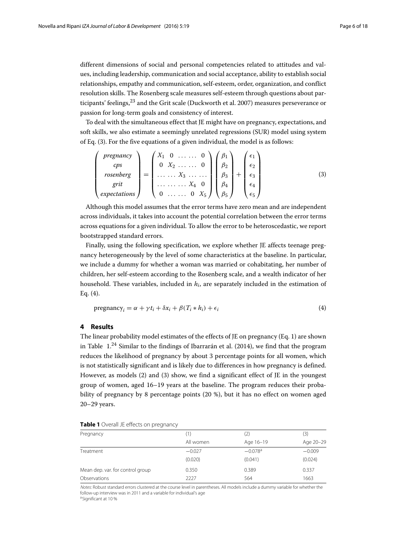different dimensions of social and personal competencies related to attitudes and values, including leadership, communication and social acceptance, ability to establish social relationships, empathy and communication, self-esteem, order, organization, and conflict resolution skills. The Rosenberg scale measures self-esteem through questions about par-ticipants' feelings,<sup>23</sup> and the Grit scale (Duckworth et al. [2007\)](#page-16-13) measures perseverance or passion for long-term goals and consistency of interest.

To deal with the simultaneous effect that JE might have on pregnancy, expectations, and soft skills, we also estimate a seemingly unrelated regressions (SUR) model using system of Eq. [\(3\)](#page-5-1). For the five equations of a given individual, the model is as follows:

<span id="page-5-1"></span>
$$
\begin{pmatrix}\n \text{pregnancy} \\
\text{cps} \\
\text{rosenberg} \\
\text{grit} \\
\text{expectations}\n \end{pmatrix}\n =\n \begin{pmatrix}\n X_1 & 0 & \dots & 0 \\
0 & X_2 & \dots & 0 \\
\dots & \dots & X_3 & \dots & 0 \\
\dots & \dots & X_4 & 0 \\
0 & \dots & \dots & 0 & X_5\n \end{pmatrix}\n \begin{pmatrix}\n \beta_1 \\
\beta_2 \\
\beta_3 \\
\beta_4 \\
\beta_5\n \end{pmatrix}\n +\n \begin{pmatrix}\n \epsilon_1 \\
\epsilon_2 \\
\epsilon_3 \\
\epsilon_4 \\
\epsilon_5\n \end{pmatrix}
$$
\n(3)

Although this model assumes that the error terms have zero mean and are independent across individuals, it takes into account the potential correlation between the error terms across equations for a given individual. To allow the error to be heteroscedastic, we report bootstrapped standard errors.

Finally, using the following specification, we explore whether JE affects teenage pregnancy heterogeneously by the level of some characteristics at the baseline. In particular, we include a dummy for whether a woman was married or cohabitating, her number of children, her self-esteem according to the Rosenberg scale, and a wealth indicator of her household. These variables, included in *hi*, are separately included in the estimation of Eq. [\(4\)](#page-5-2).

<span id="page-5-2"></span>
$$
\text{pregnancy}_i = \alpha + \gamma t_i + \delta x_i + \beta (T_i * h_i) + \epsilon_i \tag{4}
$$

## <span id="page-5-0"></span>**4 Results**

The linear probability model estimates of the effects of JE on pregnancy (Eq. [1\)](#page-4-1) are shown in Table [1.](#page-5-3)24 Similar to the findings of Ibarrarán et al. [\(2014\)](#page-17-11), we find that the program reduces the likelihood of pregnancy by about 3 percentage points for all women, which is not statistically significant and is likely due to differences in how pregnancy is defined. However, as models [\(2\)](#page-4-2) and [\(3\)](#page-5-1) show, we find a significant effect of JE in the youngest group of women, aged 16–19 years at the baseline. The program reduces their probability of pregnancy by 8 percentage points (20 %), but it has no effect on women aged 20–29 years.

| Pregnancy                        | $^{(1)}$  | (2)                   | (3)       |
|----------------------------------|-----------|-----------------------|-----------|
|                                  | All women | Age 16-19             | Age 20-29 |
| Treatment                        | $-0.027$  | $-0.078$ <sup>a</sup> | $-0.009$  |
|                                  | (0.020)   | (0.041)               | (0.024)   |
| Mean dep. var. for control group | 0.350     | 0.389                 | 0.337     |
| Observations                     | 2227      | 564                   | 1663      |

<span id="page-5-3"></span>

|  |  | Table 1 Overall JE effects on pregnancy |  |  |  |
|--|--|-----------------------------------------|--|--|--|
|--|--|-----------------------------------------|--|--|--|

Notes: Robust standard errors clustered at the course level in parentheses. All models include a dummy variable for whether the follow-up interview was in 2011 and a variable for individual's age aSignificant at 10 %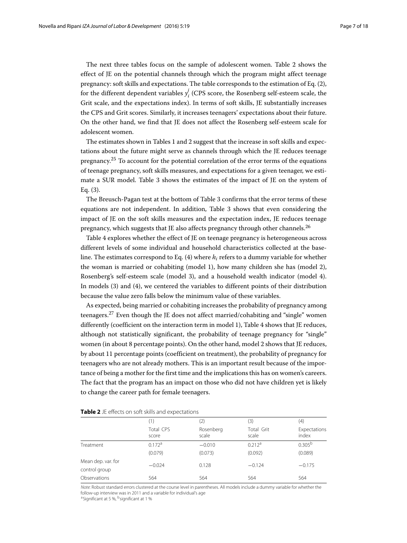The next three tables focus on the sample of adolescent women. Table [2](#page-6-0) shows the effect of JE on the potential channels through which the program might affect teenage pregnancy: soft skills and expectations. The table corresponds to the estimation of Eq. [\(2\)](#page-4-2), for the different dependent variables  $\jmath_i^j$  (CPS score, the Rosenberg self-esteem scale, the Grit scale, and the expectations index). In terms of soft skills, JE substantially increases the CPS and Grit scores. Similarly, it increases teenagers' expectations about their future. On the other hand, we find that JE does not affect the Rosenberg self-esteem scale for adolescent women.

The estimates shown in Tables [1](#page-5-3) and [2](#page-6-0) suggest that the increase in soft skills and expectations about the future might serve as channels through which the JE reduces teenage pregnancy.<sup>25</sup> To account for the potential correlation of the error terms of the equations of teenage pregnancy, soft skills measures, and expectations for a given teenager, we estimate a SUR model. Table [3](#page-7-0) shows the estimates of the impact of JE on the system of Eq. [\(3\)](#page-5-1).

The Breusch-Pagan test at the bottom of Table [3](#page-7-0) confirms that the error terms of these equations are not independent. In addition, Table [3](#page-7-0) shows that even considering the impact of JE on the soft skills measures and the expectation index, JE reduces teenage pregnancy, which suggests that JE also affects pregnancy through other channels.<sup>26</sup>

Table [4](#page-7-1) explores whether the effect of JE on teenage pregnancy is heterogeneous across different levels of some individual and household characteristics collected at the baseline. The estimates correspond to Eq. [\(4\)](#page-5-2) where *hi* refers to a dummy variable for whether the woman is married or cohabiting (model 1), how many children she has (model 2), Rosenberg's self-esteem scale (model 3), and a household wealth indicator (model 4). In models (3) and (4), we centered the variables to different points of their distribution because the value zero falls below the minimum value of these variables.

As expected, being married or cohabiting increases the probability of pregnancy among teenagers.<sup>27</sup> Even though the JE does not affect married/cohabiting and "single" women differently (coefficient on the interaction term in model 1), Table [4](#page-7-1) shows that JE reduces, although not statistically significant, the probability of teenage pregnancy for "single" women (in about 8 percentage points). On the other hand, model 2 shows that JE reduces, by about 11 percentage points (coefficient on treatment), the probability of pregnancy for teenagers who are not already mothers. This is an important result because of the importance of being a mother for the first time and the implications this has on women's careers. The fact that the program has an impact on those who did not have children yet is likely to change the career path for female teenagers.

<span id="page-6-0"></span>

|                                     | (1)                | (2)                | (3)                 | (4)                   |
|-------------------------------------|--------------------|--------------------|---------------------|-----------------------|
|                                     | Total CPS<br>score | Rosenberg<br>scale | Total Grit<br>scale | Expectations<br>index |
| Treatment                           | 0.172a             | $-0.010$           | 0.212a              | 0.305 <sup>b</sup>    |
|                                     | (0.079)            | (0.073)            | (0.092)             | (0.089)               |
| Mean dep. var. for<br>control group | $-0.024$           | 0.128              | $-0.124$            | $-0.175$              |
| Observations                        | 564                | 564                | 564                 | 564                   |

| Table 2 JE effects on soft skills and expectations |  |
|----------------------------------------------------|--|
|----------------------------------------------------|--|

Note: Robust standard errors clustered at the course level in parentheses. All models include a dummy variable for whether the follow-up interview was in 2011 and a variable for individual's age

a Significant at 5 %, <sup>b</sup>significant at 1 %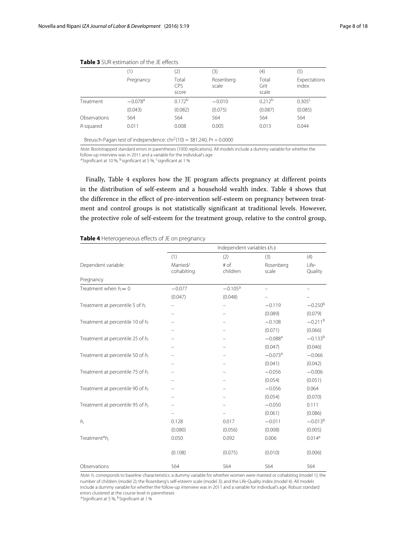<span id="page-7-0"></span>

|              | (1)                   | (2)                   | (3)                | (4)                    | (5)                   |
|--------------|-----------------------|-----------------------|--------------------|------------------------|-----------------------|
|              | Pregnancy             | Total<br>CPS<br>score | Rosenberg<br>scale | Total<br>Grit<br>scale | Expectations<br>index |
| Treatment    | $-0.078$ <sup>a</sup> | 0.172 <sup>b</sup>    | $-0.010$           | 0.212 <sup>b</sup>     | 0.305 <sup>c</sup>    |
|              | (0.043)               | (0.082)               | (0.075)            | (0.087)                | (0.085)               |
| Observations | 564                   | 564                   | 564                | 564                    | 564                   |
| R-squared    | 0.011                 | 0.008                 | 0.005              | 0.013                  | 0.044                 |

#### **Table 3** SUR estimation of the JE effects

Breusch-Pagan test of independence:  $\text{chi}^2(10) = 381.240$ ,  $\text{Pr} = 0.0000$ 

Note: Bootstrapped standard errors in parentheses (1000 replications). All models include a dummy variable for whether the follow-up interview was in 2011 and a variable for the individual's age

<sup>a</sup>Significant at 10 %, <sup>b</sup>significant at 5 %, <sup>c</sup>significant at 1 %

Finally, Table [4](#page-7-1) explores how the JE program affects pregnancy at different points in the distribution of self-esteem and a household wealth index. Table [4](#page-7-1) shows that the difference in the effect of pre-intervention self-esteem on pregnancy between treatment and control groups is not statistically significant at traditional levels. However, the protective role of self-esteem for the treatment group, relative to the control group,

<span id="page-7-1"></span>

|                                     |                        | Independent variables $(h_i)$ |                       |                    |  |  |  |  |
|-------------------------------------|------------------------|-------------------------------|-----------------------|--------------------|--|--|--|--|
|                                     | (1)                    | (2)                           | (3)                   | (4)                |  |  |  |  |
| Dependent variable:                 | Married/<br>cohabiting | # of<br>children              | Rosenberg<br>scale    | Life-<br>Quality   |  |  |  |  |
| Pregnancy                           |                        |                               |                       |                    |  |  |  |  |
| Treatment when $h_i = 0$            | $-0.077$               | $-0.105$ <sup>a</sup>         |                       |                    |  |  |  |  |
|                                     | (0.047)                | (0.048)                       |                       |                    |  |  |  |  |
| Treatment at percentile 5 of $h_i$  |                        |                               | $-0.119$              | $-0.250^{b}$       |  |  |  |  |
|                                     |                        |                               | (0.089)               | (0.079)            |  |  |  |  |
| Treatment at percentile 10 of $h_i$ |                        |                               | $-0.108$              | $-0.211^{b}$       |  |  |  |  |
|                                     |                        |                               | (0.071)               | (0.066)            |  |  |  |  |
| Treatment at percentile 25 of $h_i$ |                        |                               | $-0.088$ <sup>a</sup> | $-0.133b$          |  |  |  |  |
|                                     |                        |                               | (0.047)               | (0.046)            |  |  |  |  |
| Treatment at percentile 50 of $h_i$ |                        |                               | $-0.073$ <sup>a</sup> | $-0.066$           |  |  |  |  |
|                                     |                        |                               | (0.041)               | (0.042)            |  |  |  |  |
| Treatment at percentile 75 of $h_i$ |                        |                               | $-0.056$              | $-0.006$           |  |  |  |  |
|                                     |                        |                               | (0.054)               | (0.051)            |  |  |  |  |
| Treatment at percentile 90 of $h_i$ |                        |                               | $-0.056$              | 0.064              |  |  |  |  |
|                                     |                        |                               | (0.054)               | (0.070)            |  |  |  |  |
| Treatment at percentile 95 of $h_i$ |                        |                               | $-0.050$              | 0.111              |  |  |  |  |
|                                     |                        |                               | (0.061)               | (0.086)            |  |  |  |  |
| $h_i$                               | 0.128                  | 0.017                         | $-0.011$              | $-0.013^{b}$       |  |  |  |  |
|                                     | (0.080)                | (0.056)                       | (0.008)               | (0.005)            |  |  |  |  |
| Treatment* $h_i$                    | 0.050                  | 0.092                         | 0.006                 | 0.014 <sup>a</sup> |  |  |  |  |
|                                     | (0.108)                | (0.075)                       | (0.010)               | (0.006)            |  |  |  |  |
| Observations                        | 564                    | 564                           | 564                   | 564                |  |  |  |  |

#### **Table 4** Heterogeneous effects of JE on pregnancy

Note:  $h_i$  corresponds to baseline characteristics: a dummy variable for whether women were married or cohabiting (model 1); the number of children (model 2); the Rosenberg's self-esteem scale (model 3); and the Life-Quality Index (model 4). All models include a dummy variable for whether the follow-up interview was in 2011 and a variable for individual's age. Robust standard errors clustered at the course level in parentheses

aSignificant at 5 %, <sup>b</sup>Significant at 1 %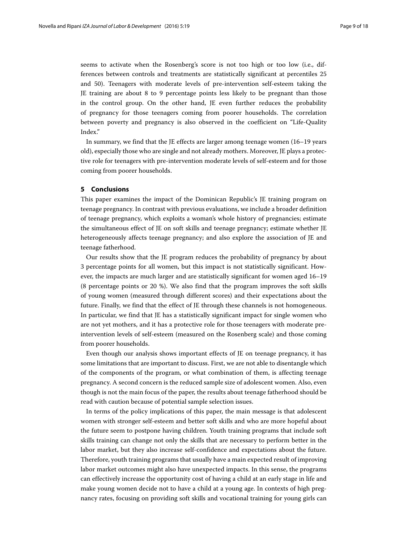seems to activate when the Rosenberg's score is not too high or too low (i.e., differences between controls and treatments are statistically significant at percentiles 25 and 50). Teenagers with moderate levels of pre-intervention self-esteem taking the JE training are about 8 to 9 percentage points less likely to be pregnant than those in the control group. On the other hand, JE even further reduces the probability of pregnancy for those teenagers coming from poorer households. The correlation between poverty and pregnancy is also observed in the coefficient on "Life-Quality Index."

In summary, we find that the JE effects are larger among teenage women (16–19 years old), especially those who are single and not already mothers. Moreover, JE plays a protective role for teenagers with pre-intervention moderate levels of self-esteem and for those coming from poorer households.

#### <span id="page-8-0"></span>**5 Conclusions**

This paper examines the impact of the Dominican Republic's JE training program on teenage pregnancy. In contrast with previous evaluations, we include a broader definition of teenage pregnancy, which exploits a woman's whole history of pregnancies; estimate the simultaneous effect of JE on soft skills and teenage pregnancy; estimate whether JE heterogeneously affects teenage pregnancy; and also explore the association of JE and teenage fatherhood.

Our results show that the JE program reduces the probability of pregnancy by about 3 percentage points for all women, but this impact is not statistically significant. However, the impacts are much larger and are statistically significant for women aged 16–19 (8 percentage points or 20 %). We also find that the program improves the soft skills of young women (measured through different scores) and their expectations about the future. Finally, we find that the effect of JE through these channels is not homogeneous. In particular, we find that JE has a statistically significant impact for single women who are not yet mothers, and it has a protective role for those teenagers with moderate preintervention levels of self-esteem (measured on the Rosenberg scale) and those coming from poorer households.

Even though our analysis shows important effects of JE on teenage pregnancy, it has some limitations that are important to discuss. First, we are not able to disentangle which of the components of the program, or what combination of them, is affecting teenage pregnancy. A second concern is the reduced sample size of adolescent women. Also, even though is not the main focus of the paper, the results about teenage fatherhood should be read with caution because of potential sample selection issues.

In terms of the policy implications of this paper, the main message is that adolescent women with stronger self-esteem and better soft skills and who are more hopeful about the future seem to postpone having children. Youth training programs that include soft skills training can change not only the skills that are necessary to perform better in the labor market, but they also increase self-confidence and expectations about the future. Therefore, youth training programs that usually have a main expected result of improving labor market outcomes might also have unexpected impacts. In this sense, the programs can effectively increase the opportunity cost of having a child at an early stage in life and make young women decide not to have a child at a young age. In contexts of high pregnancy rates, focusing on providing soft skills and vocational training for young girls can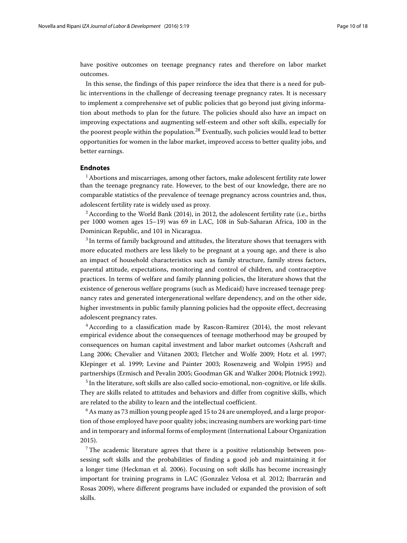have positive outcomes on teenage pregnancy rates and therefore on labor market outcomes.

In this sense, the findings of this paper reinforce the idea that there is a need for public interventions in the challenge of decreasing teenage pregnancy rates. It is necessary to implement a comprehensive set of public policies that go beyond just giving information about methods to plan for the future. The policies should also have an impact on improving expectations and augmenting self-esteem and other soft skills, especially for the poorest people within the population.<sup>28</sup> Eventually, such policies would lead to better opportunities for women in the labor market, improved access to better quality jobs, and better earnings.

#### **Endnotes**

<sup>1</sup> Abortions and miscarriages, among other factors, make adolescent fertility rate lower than the teenage pregnancy rate. However, to the best of our knowledge, there are no comparable statistics of the prevalence of teenage pregnancy across countries and, thus, adolescent fertility rate is widely used as proxy.

<sup>2</sup> According to the World Bank [\(2014\)](#page-17-13), in 2012, the adolescent fertility rate (i.e., births per 1000 women ages 15–19) was 69 in LAC, 108 in Sub-Saharan Africa, 100 in the Dominican Republic, and 101 in Nicaragua.

 $3$  In terms of family background and attitudes, the literature shows that teenagers with more educated mothers are less likely to be pregnant at a young age, and there is also an impact of household characteristics such as family structure, family stress factors, parental attitude, expectations, monitoring and control of children, and contraceptive practices. In terms of welfare and family planning policies, the literature shows that the existence of generous welfare programs (such as Medicaid) have increased teenage pregnancy rates and generated intergenerational welfare dependency, and on the other side, higher investments in public family planning policies had the opposite effect, decreasing adolescent pregnancy rates.

<sup>4</sup> According to a classification made by Rascon-Ramirez [\(2014\)](#page-17-4), the most relevant empirical evidence about the consequences of teenage motherhood may be grouped by consequences on human capital investment and labor market outcomes (Ashcraft and Lang [2006;](#page-16-2) Chevalier and Viitanen [2003;](#page-16-14) Fletcher and Wolfe [2009;](#page-16-15) Hotz et al. [1997;](#page-17-14) Klepinger et al. [1999;](#page-17-15) Levine and Painter [2003;](#page-17-16) Rosenzweig and Wolpin [1995\)](#page-17-17) and partnerships (Ermisch and Pevalin [2005;](#page-16-3) Goodman GK and Walker [2004;](#page-16-16) Plotnick [1992\)](#page-17-8).

<sup>5</sup> In the literature, soft skills are also called socio-emotional, non-cognitive, or life skills. They are skills related to attitudes and behaviors and differ from cognitive skills, which are related to the ability to learn and the intellectual coefficient.

 $6$  As many as 73 million young people aged 15 to 24 are unemployed, and a large proportion of those employed have poor quality jobs; increasing numbers are working part-time and in temporary and informal forms of employment (International Labour Organization [2015\)](#page-17-18).

 $7$ The academic literature agrees that there is a positive relationship between possessing soft skills and the probabilities of finding a good job and maintaining it for a longer time (Heckman et al. [2006\)](#page-16-17). Focusing on soft skills has become increasingly important for training programs in LAC (Gonzalez Velosa et al. [2012;](#page-16-18) Ibarrarán and Rosas [2009\)](#page-17-19), where different programs have included or expanded the provision of soft skills.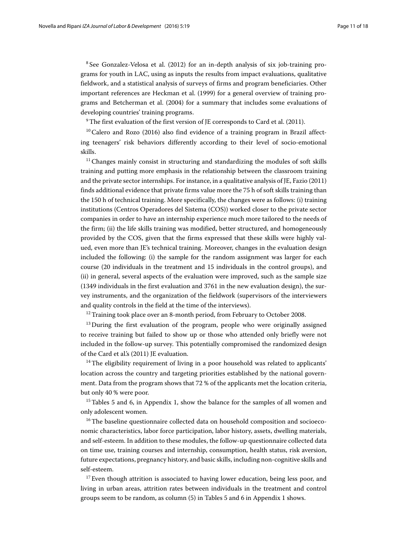<sup>8</sup> See Gonzalez-Velosa et al. (2012) for an in-depth analysis of six job-training programs for youth in LAC, using as inputs the results from impact evaluations, qualitative fieldwork, and a statistical analysis of surveys of firms and program beneficiaries. Other important references are Heckman et al. [\(1999\)](#page-16-19) for a general overview of training programs and Betcherman et al. [\(2004\)](#page-16-20) for a summary that includes some evaluations of developing countries' training programs.

<sup>9</sup>The first evaluation of the first version of JE corresponds to Card et al. [\(2011\)](#page-16-10).

 $10$ Calero and Rozo [\(2016\)](#page-16-21) also find evidence of a training program in Brazil affecting teenagers' risk behaviors differently according to their level of socio-emotional skills.

 $11$ Changes mainly consist in structuring and standardizing the modules of soft skills training and putting more emphasis in the relationship between the classroom training and the private sector internships. For instance, in a qualitative analysis of JE, Fazio [\(2011\)](#page-16-22) finds additional evidence that private firms value more the 75 h of soft skills training than the 150 h of technical training. More specifically, the changes were as follows: (i) training institutions (Centros Operadores del Sistema (COS)) worked closer to the private sector companies in order to have an internship experience much more tailored to the needs of the firm; (ii) the life skills training was modified, better structured, and homogeneously provided by the COS, given that the firms expressed that these skills were highly valued, even more than JE's technical training. Moreover, changes in the evaluation design included the following: (i) the sample for the random assignment was larger for each course (20 individuals in the treatment and 15 individuals in the control groups), and (ii) in general, several aspects of the evaluation were improved, such as the sample size (1349 individuals in the first evaluation and 3761 in the new evaluation design), the survey instruments, and the organization of the fieldwork (supervisors of the interviewers and quality controls in the field at the time of the interviews).

<sup>12</sup> Training took place over an 8-month period, from February to October 2008.

 $13$  During the first evaluation of the program, people who were originally assigned to receive training but failed to show up or those who attended only briefly were not included in the follow-up survey. This potentially compromised the randomized design of the Card et al.'s [\(2011\)](#page-16-10) JE evaluation.

 $14$  The eligibility requirement of living in a poor household was related to applicants' location across the country and targeting priorities established by the national government. Data from the program shows that 72 % of the applicants met the location criteria, but only 40 % were poor.

 $15$  Tables 5 and 6, in [Appendix 1,](#page-12-0) show the balance for the samples of all women and only adolescent women.

<sup>16</sup>The baseline questionnaire collected data on household composition and socioeconomic characteristics, labor force participation, labor history, assets, dwelling materials, and self-esteem. In addition to these modules, the follow-up questionnaire collected data on time use, training courses and internship, consumption, health status, risk aversion, future expectations, pregnancy history, and basic skills, including non-cognitive skills and self-esteem.

<sup>17</sup> Even though attrition is associated to having lower education, being less poor, and living in urban areas, attrition rates between individuals in the treatment and control groups seem to be random, as column (5) in Tables 5 and 6 in [Appendix 1](#page-12-0) shows.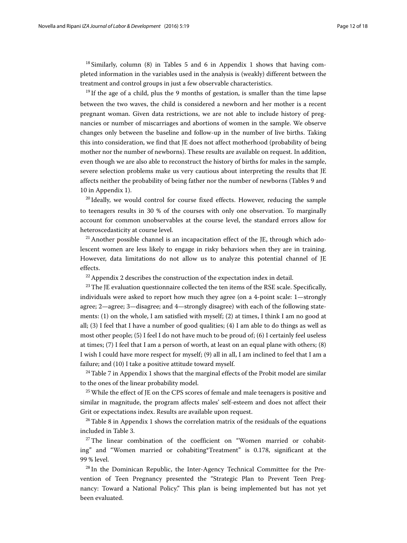$18$  Similarly, column (8) in Tables 5 and 6 in [Appendix 1](#page-12-0) shows that having completed information in the variables used in the analysis is (weakly) different between the treatment and control groups in just a few observable characteristics.

 $19$  If the age of a child, plus the 9 months of gestation, is smaller than the time lapse between the two waves, the child is considered a newborn and her mother is a recent pregnant woman. Given data restrictions, we are not able to include history of pregnancies or number of miscarriages and abortions of women in the sample. We observe changes only between the baseline and follow-up in the number of live births. Taking this into consideration, we find that JE does not affect motherhood (probability of being mother nor the number of newborns). These results are available on request. In addition, even though we are also able to reconstruct the history of births for males in the sample, severe selection problems make us very cautious about interpreting the results that JE affects neither the probability of being father nor the number of newborns (Tables 9 and 10 in [Appendix 1\)](#page-12-0).

<sup>20</sup> Ideally, we would control for course fixed effects. However, reducing the sample to teenagers results in 30 % of the courses with only one observation. To marginally account for common unobservables at the course level, the standard errors allow for heteroscedasticity at course level.

 $21$  Another possible channel is an incapacitation effect of the JE, through which adolescent women are less likely to engage in risky behaviors when they are in training. However, data limitations do not allow us to analyze this potential channel of JE effects.

 $22$  [Appendix 2](#page-15-0) describes the construction of the expectation index in detail.

 $23$  The JE evaluation questionnaire collected the ten items of the RSE scale. Specifically, individuals were asked to report how much they agree (on a 4-point scale: 1—strongly agree; 2—agree; 3—disagree; and 4—strongly disagree) with each of the following statements: (1) on the whole, I am satisfied with myself; (2) at times, I think I am no good at all; (3) I feel that I have a number of good qualities; (4) I am able to do things as well as most other people; (5) I feel I do not have much to be proud of; (6) I certainly feel useless at times; (7) I feel that I am a person of worth, at least on an equal plane with others; (8) I wish I could have more respect for myself; (9) all in all, I am inclined to feel that I am a failure; and (10) I take a positive attitude toward myself.

 $24$  Table 7 in [Appendix 1](#page-12-0) shows that the marginal effects of the Probit model are similar to the ones of the linear probability model.

<sup>25</sup> While the effect of JE on the CPS scores of female and male teenagers is positive and similar in magnitude, the program affects males' self-esteem and does not affect their Grit or expectations index. Results are available upon request.

<sup>26</sup> Table 8 in [Appendix 1](#page-12-0) shows the correlation matrix of the residuals of the equations included in Table [3.](#page-7-0)

 $27$ The linear combination of the coefficient on "Women married or cohabiting" and "Women married or cohabiting\*Treatment" is 0.178, significant at the 99 % level.

<sup>28</sup> In the Dominican Republic, the Inter-Agency Technical Committee for the Prevention of Teen Pregnancy presented the "Strategic Plan to Prevent Teen Pregnancy: Toward a National Policy." This plan is being implemented but has not yet been evaluated.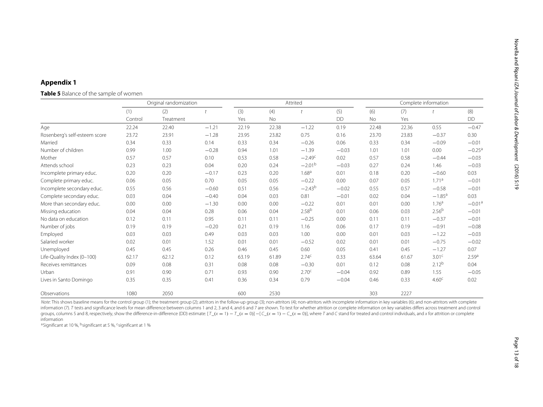# **Appendix 1**

**Table 5** Balance of the sample of women

|                               | Original randomization |           | Attrited |       |           | Complete information |           |       |       |                      |                      |
|-------------------------------|------------------------|-----------|----------|-------|-----------|----------------------|-----------|-------|-------|----------------------|----------------------|
|                               | (1)                    | (2)       |          | (3)   | (4)       |                      | (5)       | (6)   | (7)   |                      | (8)                  |
|                               | Control                | Treatment |          | Yes   | <b>No</b> |                      | <b>DD</b> | No    | Yes   |                      | <b>DD</b>            |
| Age                           | 22.24                  | 22.40     | $-1.21$  | 22.19 | 22.38     | $-1.22$              | 0.19      | 22.48 | 22.36 | 0.55                 | $-0.47$              |
| Rosenberg's self-esteem score | 23.72                  | 23.91     | $-1.28$  | 23.95 | 23.82     | 0.75                 | 0.16      | 23.70 | 23.83 | $-0.37$              | 0.30                 |
| Married                       | 0.34                   | 0.33      | 0.14     | 0.33  | 0.34      | $-0.26$              | 0.06      | 0.33  | 0.34  | $-0.09$              | $-0.01$              |
| Number of children            | 0.99                   | 1.00      | $-0.28$  | 0.94  | 1.01      | $-1.39$              | $-0.03$   | 1.01  | 1.01  | 0.00                 | $-0.25$ <sup>a</sup> |
| Mother                        | 0.57                   | 0.57      | 0.10     | 0.53  | 0.58      | $-2.49c$             | 0.02      | 0.57  | 0.58  | $-0.44$              | $-0.03$              |
| Attends school                | 0.23                   | 0.23      | 0.04     | 0.20  | 0.24      | $-2.01b$             | $-0.03$   | 0.27  | 0.24  | 1.46                 | $-0.03$              |
| Incomplete primary educ.      | 0.20                   | 0.20      | $-0.17$  | 0.23  | 0.20      | 1.68 <sup>a</sup>    | 0.01      | 0.18  | 0.20  | $-0.60$              | 0.03                 |
| Complete primary educ.        | 0.06                   | 0.05      | 0.70     | 0.05  | 0.05      | $-0.22$              | 0.00      | 0.07  | 0.05  | 1.71 <sup>a</sup>    | $-0.01$              |
| Incomplete secondary educ.    | 0.55                   | 0.56      | $-0.60$  | 0.51  | 0.56      | $-2.43^{b}$          | $-0.02$   | 0.55  | 0.57  | $-0.58$              | $-0.01$              |
| Complete secondary educ.      | 0.03                   | 0.04      | $-0.40$  | 0.04  | 0.03      | 0.81                 | $-0.01$   | 0.02  | 0.04  | $-1.85$ <sup>a</sup> | 0.03                 |
| More than secondary educ.     | 0.00                   | 0.00      | $-1.30$  | 0.00  | 0.00      | $-0.22$              | 0.01      | 0.01  | 0.00  | 1.76 <sup>a</sup>    | $-0.01a$             |
| Missing education             | 0.04                   | 0.04      | 0.28     | 0.06  | 0.04      | 2.58 <sup>b</sup>    | 0.01      | 0.06  | 0.03  | $2.56^{b}$           | $-0.01$              |
| No data on education          | 0.12                   | 0.11      | 0.95     | 0.11  | 0.11      | $-0.25$              | 0.00      | 0.11  | 0.11  | $-0.37$              | $-0.01$              |
| Number of jobs                | 0.19                   | 0.19      | $-0.20$  | 0.21  | 0.19      | 1.16                 | 0.06      | 0.17  | 0.19  | $-0.91$              | $-0.08$              |
| Employed                      | 0.03                   | 0.03      | 0.49     | 0.03  | 0.03      | 1.00                 | 0.00      | 0.01  | 0.03  | $-1.22$              | $-0.03$              |
| Salaried worker               | 0.02                   | 0.01      | 1.52     | 0.01  | 0.01      | $-0.52$              | 0.02      | 0.01  | 0.01  | $-0.75$              | $-0.02$              |
| Unemployed                    | 0.45                   | 0.45      | 0.26     | 0.46  | 0.45      | 0.60                 | 0.05      | 0.41  | 0.45  | $-1.27$              | 0.07                 |
| Life-Quality Index (0-100)    | 62.17                  | 62.12     | 0.12     | 63.19 | 61.89     | 2.74 <sup>c</sup>    | 0.33      | 63.64 | 61.67 | 3.01 <sup>c</sup>    | 2.59 <sup>a</sup>    |
| Receives remittances          | 0.09                   | 0.08      | 0.31     | 0.08  | 0.08      | $-0.30$              | 0.01      | 0.12  | 0.08  | $2.12^{b}$           | 0.04                 |
| Urban                         | 0.91                   | 0.90      | 0.71     | 0.93  | 0.90      | 2.70 <sup>c</sup>    | $-0.04$   | 0.92  | 0.89  | 1.55                 | $-0.05$              |
| Lives in Santo Domingo        | 0.35                   | 0.35      | 0.41     | 0.36  | 0.34      | 0.79                 | $-0.04$   | 0.46  | 0.33  | 4.60 <sup>c</sup>    | 0.02                 |
| Observations                  | 1080                   | 2050      |          | 600   | 2530      |                      |           | 303   | 2227  |                      |                      |

Note: This shows baseline means for the control group (1); the treatment group (2); attritors in the follow-up group (3); non-attritors (4); non-attritors with incomplete information in key variables (6); and non-attritors information (7). T tests and significance levels for mean difference between columns 1 and 2, 3 and 4, and 6 and 7 are shown. To test for whether attrition or complete information on key variables differs across treatment groups, columns 5 and 8, respectively, show the difference-in-difference (DD) estimate:  $[T(x = 1) - T(x = 0)] - [C(x = 1) - C(x = 0)]$ , where T and C stand for treated and control individuals, and x for attrition or complete information

<span id="page-12-0"></span><sup>a</sup>Significant at 10 %, <sup>b</sup>significant at 5 %, <sup>c</sup>significant at 1 %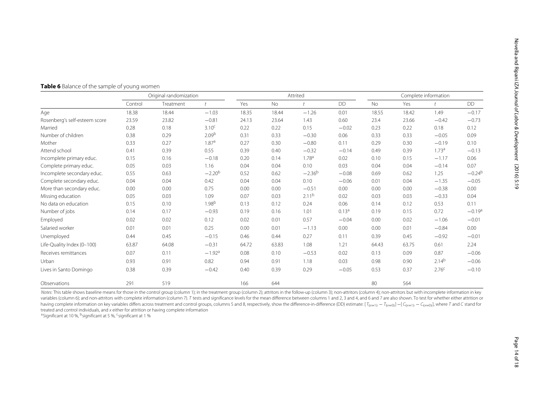|                               | Original randomization |           |                      | Attrited |           |                   | Complete information |       |       |                   |          |
|-------------------------------|------------------------|-----------|----------------------|----------|-----------|-------------------|----------------------|-------|-------|-------------------|----------|
|                               | Control                | Treatment |                      | Yes      | <b>No</b> | $\ddot{\tau}$     | DD                   | No    | Yes   |                   | DD       |
| Age                           | 18.38                  | 18.44     | $-1.03$              | 18.35    | 18.44     | $-1.26$           | 0.01                 | 18.55 | 18.42 | 1.49              | $-0.17$  |
| Rosenberg's self-esteem score | 23.59                  | 23.82     | $-0.81$              | 24.13    | 23.64     | 1.43              | 0.60                 | 23.4  | 23.66 | $-0.42$           | $-0.73$  |
| Married                       | 0.28                   | 0.18      | 3.10 <sup>c</sup>    | 0.22     | 0.22      | 0.15              | $-0.02$              | 0.23  | 0.22  | 0.18              | 0.12     |
| Number of children            | 0.38                   | 0.29      | 2.09 <sup>b</sup>    | 0.31     | 0.33      | $-0.30$           | 0.06                 | 0.33  | 0.33  | $-0.05$           | 0.09     |
| Mother                        | 0.33                   | 0.27      | 1.87 <sup>a</sup>    | 0.27     | 0.30      | $-0.80$           | 0.11                 | 0.29  | 0.30  | $-0.19$           | 0.10     |
| Attend school                 | 0.41                   | 0.39      | 0.55                 | 0.39     | 0.40      | $-0.32$           | $-0.14$              | 0.49  | 0.39  | 1.73 <sup>a</sup> | $-0.13$  |
| Incomplete primary educ.      | 0.15                   | 0.16      | $-0.18$              | 0.20     | 0.14      | $1.78^{a}$        | 0.02                 | 0.10  | 0.15  | $-1.17$           | 0.06     |
| Complete primary educ.        | 0.05                   | 0.03      | 1.16                 | 0.04     | 0.04      | 0.10              | 0.03                 | 0.04  | 0.04  | $-0.14$           | 0.07     |
| Incomplete secondary educ.    | 0.55                   | 0.63      | $-2.20b$             | 0.52     | 0.62      | $-2.36b$          | $-0.08$              | 0.69  | 0.62  | 1.25              | $-0.24b$ |
| Complete secondary educ.      | 0.04                   | 0.04      | 0.42                 | 0.04     | 0.04      | 0.10              | $-0.06$              | 0.01  | 0.04  | $-1.35$           | $-0.05$  |
| More than secondary educ.     | 0.00                   | 0.00      | 0.75                 | 0.00     | 0.00      | $-0.51$           | 0.00                 | 0.00  | 0.00  | $-0.38$           | 0.00     |
| Missing education             | 0.05                   | 0.03      | 1.09                 | 0.07     | 0.03      | 2.11 <sup>b</sup> | 0.02                 | 0.03  | 0.03  | $-0.33$           | 0.04     |
| No data on education          | 0.15                   | 0.10      | 1.98 <sup>b</sup>    | 0.13     | 0.12      | 0.24              | 0.06                 | 0.14  | 0.12  | 0.53              | 0.11     |
| Number of jobs                | 0.14                   | 0.17      | $-0.93$              | 0.19     | 0.16      | 1.01              | $0.13^a$             | 0.19  | 0.15  | 0.72              | $-0.19a$ |
| Employed                      | 0.02                   | 0.02      | 0.12                 | 0.02     | 0.01      | 0.57              | $-0.04$              | 0.00  | 0.02  | $-1.06$           | $-0.01$  |
| Salaried worker               | 0.01                   | 0.01      | 0.25                 | 0.00     | 0.01      | $-1.13$           | 0.00                 | 0.00  | 0.01  | $-0.84$           | 0.00     |
| Unemployed                    | 0.44                   | 0.45      | $-0.15$              | 0.46     | 0.44      | 0.27              | 0.11                 | 0.39  | 0.45  | $-0.92$           | $-0.01$  |
| Life-Quality Index (0-100)    | 63.87                  | 64.08     | $-0.31$              | 64.72    | 63.83     | 1.08              | 1.21                 | 64.43 | 63.75 | 0.61              | 2.24     |
| Receives remittances          | 0.07                   | 0.11      | $-1.92$ <sup>a</sup> | 0.08     | 0.10      | $-0.53$           | 0.02                 | 0.13  | 0.09  | 0.87              | $-0.06$  |
| Urban                         | 0.93                   | 0.91      | 0.82                 | 0.94     | 0.91      | 1.18              | 0.03                 | 0.98  | 0.90  | 2.14 <sup>b</sup> | $-0.06$  |
| Lives in Santo Domingo        | 0.38                   | 0.39      | $-0.42$              | 0.40     | 0.39      | 0.29              | $-0.05$              | 0.53  | 0.37  | 2.76 <sup>c</sup> | $-0.10$  |
| Observations                  | 291                    | 519       |                      | 166      | 644       |                   |                      | 80    | 564   |                   |          |

# **Table 6** Balance of the sample of young women

Notes: This table shows baseline means for those in the control group (column 1); in the treatment group (column 2); attritors in the follow-up (column 3); non-attritors (column 4); non-attritors but with incomplete inform variables (column 6); and non-attritors with complete information (column 7). T tests and significance levels for the mean difference between columns 1 and 2, 3 and 4, and 6 and 7 are also shown. To test for whether either having complete information on key variables differs across treatment and control groups, columns 5 and 8, respectively, show the difference-in-difference (DD) estimate: [ $T_{(x=1)} - T_{(x=0)} - [C_{(x=1)} - C_{(x=0)}]$ , where T and C treated and control individuals, and  $x$  either for attrition or having complete information

<sup>a</sup>Significant at 10 %, <sup>b</sup>significant at 5 %, <sup>c</sup>significant at 1 %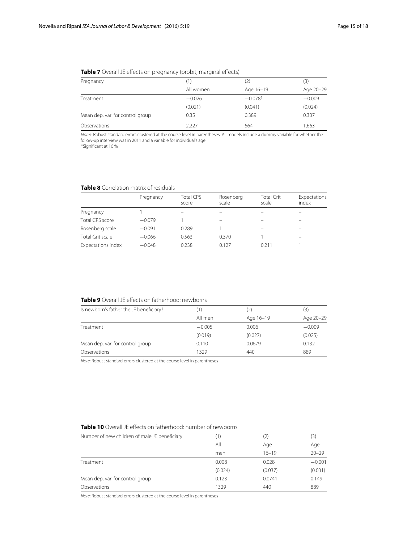### **Table 7** Overall JE effects on pregnancy (probit, marginal effects)

| Pregnancy                        | (1)       | (2)                   | (3)       |
|----------------------------------|-----------|-----------------------|-----------|
|                                  | All women | Age 16-19             | Age 20-29 |
| Treatment                        | $-0.026$  | $-0.078$ <sup>a</sup> | $-0.009$  |
|                                  | (0.021)   | (0.041)               | (0.024)   |
| Mean dep. var. for control group | 0.35      | 0.389                 | 0.337     |
| Observations                     | 2.227     | 564                   | 1,663     |

Notes: Robust standard errors clustered at the course level in parentheses. All models include a dummy variable for whether the follow-up interview was in 2011 and a variable for individual's age

<sup>a</sup> Significant at 10 %

|                         | Pregnancy | <b>Total CPS</b><br>score | Rosenberg<br>scale | <b>Total Grit</b><br>scale | Expectations<br>index |
|-------------------------|-----------|---------------------------|--------------------|----------------------------|-----------------------|
| Pregnancy               |           |                           |                    |                            |                       |
| Total CPS score         | $-0.079$  |                           |                    |                            |                       |
| Rosenberg scale         | $-0.091$  | 0.289                     |                    |                            |                       |
| <b>Total Grit scale</b> | $-0.066$  | 0.563                     | 0.370              |                            |                       |
| Expectations index      | $-0.048$  | 0.238                     | 0.127              | 0.211                      |                       |

### **Table 8** Correlation matrix of residuals

## **Table 9** Overall JE effects on fatherhood: newborns

| Is newborn's father the JE beneficiary? |          | (2)       | (3)       |
|-----------------------------------------|----------|-----------|-----------|
|                                         | All men  | Age 16-19 | Age 20-29 |
| Treatment                               | $-0.005$ | 0.006     | $-0.009$  |
|                                         | (0.019)  | (0.027)   | (0.025)   |
| Mean dep. var. for control group        | 0.110    | 0.0679    | 0.132     |
| Observations                            | 1329     | 440       | 889       |

Note: Robust standard errors clustered at the course level in parentheses

## **Table 10** Overall JE effects on fatherhood: number of newborns

| Number of new children of male JE beneficiary | $\left(1\right)$ | (2)       | (3)       |
|-----------------------------------------------|------------------|-----------|-----------|
|                                               | All              | Age       | Age       |
|                                               | men              | $16 - 19$ | $20 - 29$ |
| Treatment                                     | 0.008            | 0.028     | $-0.001$  |
|                                               | (0.024)          | (0.037)   | (0.031)   |
| Mean dep. var. for control group              | 0.123            | 0.0741    | 0.149     |
| Observations                                  | 1329             | 440       | 889       |
|                                               |                  |           |           |

Note: Robust standard errors clustered at the course level in parentheses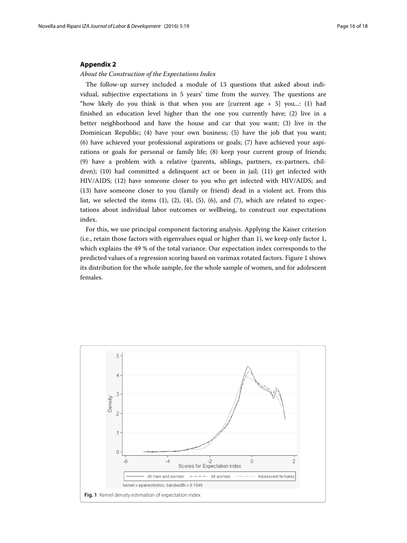#### <span id="page-15-0"></span>**Appendix 2**

### *About the Construction of the Expectations Index*

The follow-up survey included a module of 13 questions that asked about individual, subjective expectations in 5 years' time from the survey. The questions are "how likely do you think is that when you are [current age  $+5$ ] you...: (1) had finished an education level higher than the one you currently have; (2) live in a better neighborhood and have the house and car that you want; (3) live in the Dominican Republic; (4) have your own business; (5) have the job that you want; (6) have achieved your professional aspirations or goals; (7) have achieved your aspirations or goals for personal or family life; (8) keep your current group of friends; (9) have a problem with a relative (parents, siblings, partners, ex-partners, children); (10) had committed a delinquent act or been in jail; (11) get infected with HIV/AIDS; (12) have someone closer to you who get infected with HIV/AIDS; and (13) have someone closer to you (family or friend) dead in a violent act. From this list, we selected the items  $(1)$ ,  $(2)$ ,  $(4)$ ,  $(5)$ ,  $(6)$ , and  $(7)$ , which are related to expectations about individual labor outcomes or wellbeing, to construct our expectations index.

For this, we use principal component factoring analysis. Applying the Kaiser criterion (i.e., retain those factors with eigenvalues equal or higher than 1), we keep only factor 1, which explains the 49 % of the total variance. Our expectation index corresponds to the predicted values of a regression scoring based on varimax rotated factors. Figure 1 shows its distribution for the whole sample, for the whole sample of women, and for adolescent females.

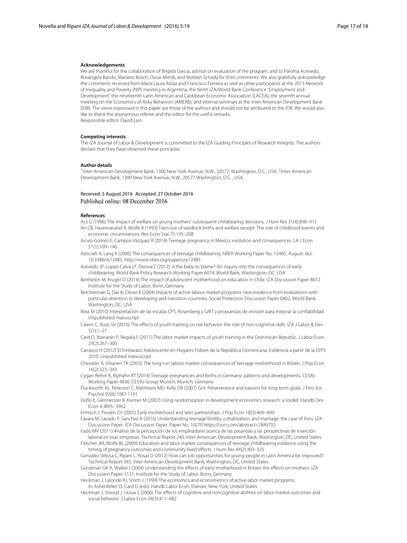#### **Acknowledgements**

We are thankful for the collaboration of Brígida García, advisor on evaluation of the program, and to Paloma Acevedo, Rosangela Bando, Mariano Bosch, Oscar Mitnik, and Norbert Schady for their comments. We also gratefully acknowledge the comments received from Maria Laura Alzúa and Francisco Ferreira as well as other participants at the 2013 Network of Inequality and Poverty (NIP) meeting in Argentina, the Ninth IZA/World Bank Conference "Employment and Development" the nineteenth Latin American and Caribbean Economic Association (LACEA), the seventh annual meeting on the Economics of Risky Behaviors (AMERB), and internal seminars at the Inter-American Development Bank (IDB). The views expressed in this paper are those of the authors and should not be attributed to the IDB. We would also like to thank the anonymous referee and the editor for the useful remarks. Responsible editor: David Lam

#### **Competing interests**

The IZA Journal of Labor & Development is committed to the IZA Guiding Principles of Research Integrity. The authors declare that they have observed these principles.

#### **Author details**

<sup>1</sup> Inter-American Development Bank, 1300 New York Avenue, N.W., 20577, Washington, D.C., USA. <sup>2</sup>Inter-American Development Bank, 1300 New York Avenue, N.W., 20577 Washington, D.C. , USA.

#### Received: 5 August 2016 Accepted: 27 October 2016 Published online: 08 December 2016

#### **References**

- <span id="page-16-1"></span><span id="page-16-0"></span>Acs G (1996) The impact of welfare on young mothers' subsequent childbearing decisions. J Hum Res 31(4):898–915 An CB, Havemanand R, Wolfe B (1993) Teen out-of-wedlock births and welfare receipt: The role of childhood events and
	- economic circumstances. Rev Econ Stat 75:195–208
- <span id="page-16-6"></span>Arceo-Gomez E, Campos-Vazquez R (2014) Teenage pregnancy in Mexico: evolution and consequences. LA J Econ 51(1):109–146
- <span id="page-16-2"></span>Ashcraft A, Lang K (2006) The consequences of teenage childbearing. NBER Working Paper No. 12485, August. doi: [10.3386/w12485.](http://dx.doi.org/10.3386/w12485)<http://www.nber.org/papers/w12485>
- <span id="page-16-5"></span>Azevedo JP, Lopez-Calva LF, Perova E (2012). Is the baby to blame? An inquiry into the consequences of early childbearing. World Bank Policy Research Working Paper 6074, World Bank, Washington, DC, USA
- <span id="page-16-7"></span>Berthelon M, Kruger D (2014) The impact of adolescent motherhood on education in Chile. IZA Discussion Paper 8072 Institute for the Study of Labor, Bonn, Germany
- <span id="page-16-20"></span>Betcherman G, Dar A, Olivas K (2004) Impacts of active labour market programs: new evidence from evaluations with particular attention to developing and transition countries. Social Protection Discussion Paper 0402, World Bank, Washington, DC, USA
- <span id="page-16-12"></span>Brea M (2010) Interpretación de las escalas CPS, Rosenberg y GRIT y propuestas de revisión para mejorar la confiabilidad. Unpublished manuscript
- <span id="page-16-21"></span>Calero C, Rozo SV (2016) The effects of youth training on risk behavior: the role of non-cognitive skills. IZA J Labor & Dev 5(1):1–27
- <span id="page-16-10"></span>Card D, Ibarrarán P, Regalia F (2011) The labor market impacts of youth training in the Dominican Republic. J Labor Econ 29(2):267–300
- <span id="page-16-8"></span>Carrasco H (2012) El Embarazo Adolescente en Hogares Pobres de la República Dominicana: Evidencia a partir de la EEPS 2010. Unpublished manuscript
- <span id="page-16-14"></span>Chevalier A, Viitanen TK (2003) The long-run labour market consequences of teenage motherhood in Britain. J Pop Econ 16(2):323–343
- <span id="page-16-4"></span>Cygan-Rehm K, Riphahn RT (2014) Teenage pregnancies and births in Germany: patterns and developments. CESifo Working Paper 4836. CESifo Group Munich, Munich, Germany
- <span id="page-16-13"></span>Duckworth AL, Peterson C, Matthews MD, Kelly DR (2007) Grit: Perseverance and passion for long-term goals. J Pers Soc Psychol 92(6):1087-1101
- <span id="page-16-11"></span>Duflo E, Glennerster R, Kremer M (2007) Using randomization in development economics research: a toolkit. Handb Dev Econ 4:3895–3962
- <span id="page-16-3"></span>Ermisch J, Pevalin DJ (2005) Early motherhood and later partnerships. J Pop Econ 18(3):469–489
- <span id="page-16-9"></span>Favara M, Lavado P, Sanchez A (2016) Understanding teenage fertility, cohabitation, and marriage: the case of Peru. IZA Discussion Paper. IZA Discussion Paper. Paper No. 10270<https://ssrn.com/abstract=2849755>
- <span id="page-16-22"></span>Fazio MV (2011) Análisis de la percepción de los empleadores acerca de las pasantías y las perspectivas de inserción laboral en esas empresas. Technical Report 240. Inter-American Development Bank, Washington, DC, United States
- <span id="page-16-15"></span>Fletcher JM, Wolfe BL (2009) Education and labor market consequences of teenage childbearing evidence using the timing of pregnancy outcomes and community fixed effects. J Hum Res 44(2):303–325
- <span id="page-16-18"></span>Gonzalez Velosa C, Ripani L, Rosas D (2012) How can job opportunities for young people in Latin America be improved? Technical Report 345. Inter-American Development Bank, Washington, DC, United States
- <span id="page-16-16"></span>Goodman GK A, Walker I (2004) Understanding the effects of early motherhood in Britain: the effects on mothers. IZA Discussion Paper 1131. Institute for the Study of Labor, Bonn, Germany
- <span id="page-16-19"></span>Heckman J, Lalonde RJ, Smith J (1999) The economics and econometrics of active labor market programs. In: Ashenfelter O, Card D (eds). Handb Labor Econ. Elsevier, New York, United States
- <span id="page-16-17"></span>Heckman J, Stixrud J, Urzua S (2006) The effects of cognitive and noncognitive abilities on labor market outcomes and social behavior. J Labor Econ 24(3):411-482